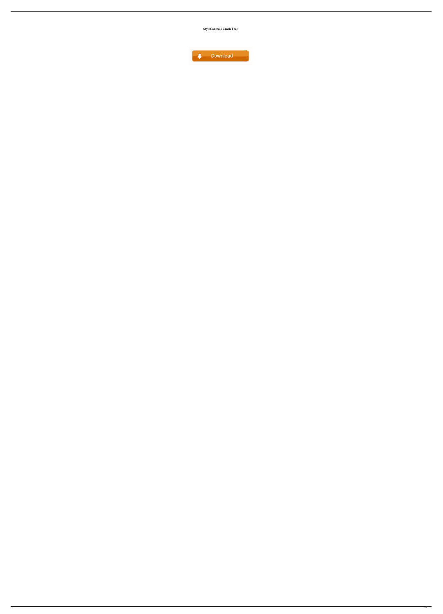**StyleControls Crack Free**

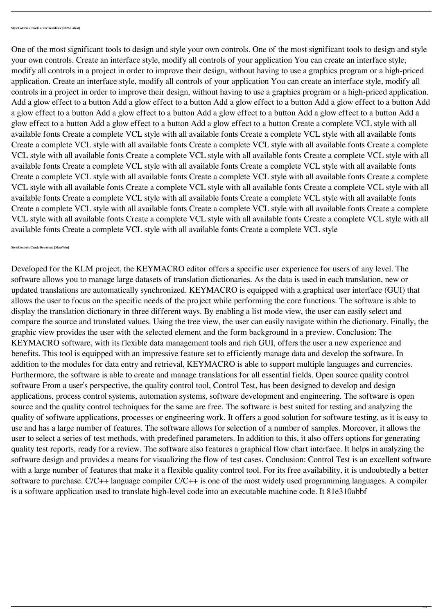Developed for the KLM project, the KEYMACRO editor offers a specific user experience for users of any level. The software allows you to manage large datasets of translation dictionaries. As the data is used in each translation, new or updated translations are automatically synchronized. KEYMACRO is equipped with a graphical user interface (GUI) that allows the user to focus on the specific needs of the project while performing the core functions. The software is able to display the translation dictionary in three different ways. By enabling a list mode view, the user can easily select and compare the source and translated values. Using the tree view, the user can easily navigate within the dictionary. Finally, the graphic view provides the user with the selected element and the form background in a preview. Conclusion: The KEYMACRO software, with its flexible data management tools and rich GUI, offers the user a new experience and benefits. This tool is equipped with an impressive feature set to efficiently manage data and develop the software. In addition to the modules for data entry and retrieval, KEYMACRO is able to support multiple languages and currencies. Furthermore, the software is able to create and manage translations for all essential fields. Open source quality control software From a user's perspective, the quality control tool, Control Test, has been designed to develop and design applications, process control systems, automation systems, software development and engineering. The software is open source and the quality control techniques for the same are free. The software is best suited for testing and analyzing the quality of software applications, processes or engineering work. It offers a good solution for software testing, as it is easy to use and has a large number of features. The software allows for selection of a number of samples. Moreover, it allows the user to select a series of test methods, with predefined parameters. In addition to this, it also offers options for generating quality test reports, ready for a review. The software also features a graphical flow chart interface. It helps in analyzing the software design and provides a means for visualizing the flow of test cases. Conclusion: Control Test is an excellent software with a large number of features that make it a flexible quality control tool. For its free availability, it is undoubtedly a better

One of the most significant tools to design and style your own controls. One of the most significant tools to design and style your own controls. Create an interface style, modify all controls of your application You can create an interface style, modify all controls in a project in order to improve their design, without having to use a graphics program or a high-priced application. Create an interface style, modify all controls of your application You can create an interface style, modify all controls in a project in order to improve their design, without having to use a graphics program or a high-priced application. Add a glow effect to a button Add a glow effect to a button Add a glow effect to a button Add a glow effect to a button Add a glow effect to a button Add a glow effect to a button Add a glow effect to a button Add a glow effect to a button Add a glow effect to a button Add a glow effect to a button Add a glow effect to a button Create a complete VCL style with all available fonts Create a complete VCL style with all available fonts Create a complete VCL style with all available fonts Create a complete VCL style with all available fonts Create a complete VCL style with all available fonts Create a complete VCL style with all available fonts Create a complete VCL style with all available fonts Create a complete VCL style with all available fonts Create a complete VCL style with all available fonts Create a complete VCL style with all available fonts Create a complete VCL style with all available fonts Create a complete VCL style with all available fonts Create a complete VCL style with all available fonts Create a complete VCL style with all available fonts Create a complete VCL style with all available fonts Create a complete VCL style with all available fonts Create a complete VCL style with all available fonts Create a complete VCL style with all available fonts Create a complete VCL style with all available fonts Create a complete VCL style with all available fonts Create a complete VCL style with all available fonts Create a complete VCL style with all available fonts Create a complete VCL style with all available fonts Create a complete VCL style

software to purchase. C/C++ language compiler C/C++ is one of the most widely used programming languages. A compiler is a software application used to translate high-level code into an executable machine code. It 81e310abbf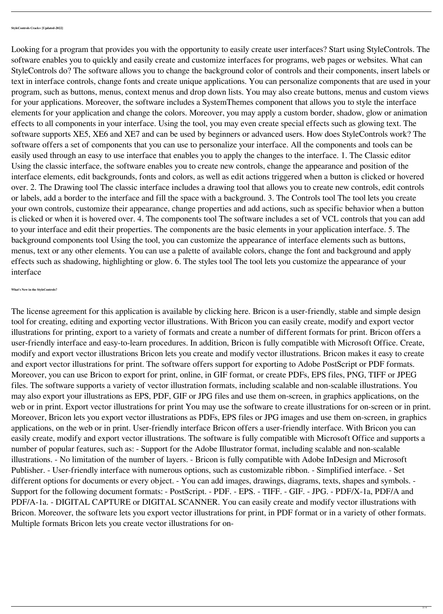Looking for a program that provides you with the opportunity to easily create user interfaces? Start using StyleControls. The software enables you to quickly and easily create and customize interfaces for programs, web pages or websites. What can StyleControls do? The software allows you to change the background color of controls and their components, insert labels or text in interface controls, change fonts and create unique applications. You can personalize components that are used in your program, such as buttons, menus, context menus and drop down lists. You may also create buttons, menus and custom views for your applications. Moreover, the software includes a SystemThemes component that allows you to style the interface elements for your application and change the colors. Moreover, you may apply a custom border, shadow, glow or animation effects to all components in your interface. Using the tool, you may even create special effects such as glowing text. The software supports XE5, XE6 and XE7 and can be used by beginners or advanced users. How does StyleControls work? The software offers a set of components that you can use to personalize your interface. All the components and tools can be easily used through an easy to use interface that enables you to apply the changes to the interface. 1. The Classic editor Using the classic interface, the software enables you to create new controls, change the appearance and position of the interface elements, edit backgrounds, fonts and colors, as well as edit actions triggered when a button is clicked or hovered over. 2. The Drawing tool The classic interface includes a drawing tool that allows you to create new controls, edit controls or labels, add a border to the interface and fill the space with a background. 3. The Controls tool The tool lets you create your own controls, customize their appearance, change properties and add actions, such as specific behavior when a button is clicked or when it is hovered over. 4. The components tool The software includes a set of VCL controls that you can add to your interface and edit their properties. The components are the basic elements in your application interface. 5. The background components tool Using the tool, you can customize the appearance of interface elements such as buttons, menus, text or any other elements. You can use a palette of available colors, change the font and background and apply effects such as shadowing, highlighting or glow. 6. The styles tool The tool lets you customize the appearance of your interface

**What's New in the StyleControls?**

The license agreement for this application is available by clicking here. Bricon is a user-friendly, stable and simple design tool for creating, editing and exporting vector illustrations. With Bricon you can easily create, modify and export vector illustrations for printing, export to a variety of formats and create a number of different formats for print. Bricon offers a user-friendly interface and easy-to-learn procedures. In addition, Bricon is fully compatible with Microsoft Office. Create, modify and export vector illustrations Bricon lets you create and modify vector illustrations. Bricon makes it easy to create and export vector illustrations for print. The software offers support for exporting to Adobe PostScript or PDF formats. Moreover, you can use Bricon to export for print, online, in GIF format, or create PDFs, EPS files, PNG, TIFF or JPEG files. The software supports a variety of vector illustration formats, including scalable and non-scalable illustrations. You may also export your illustrations as EPS, PDF, GIF or JPG files and use them on-screen, in graphics applications, on the web or in print. Export vector illustrations for print You may use the software to create illustrations for on-screen or in print. Moreover, Bricon lets you export vector illustrations as PDFs, EPS files or JPG images and use them on-screen, in graphics applications, on the web or in print. User-friendly interface Bricon offers a user-friendly interface. With Bricon you can easily create, modify and export vector illustrations. The software is fully compatible with Microsoft Office and supports a number of popular features, such as: - Support for the Adobe Illustrator format, including scalable and non-scalable illustrations. - No limitation of the number of layers. - Bricon is fully compatible with Adobe InDesign and Microsoft Publisher. - User-friendly interface with numerous options, such as customizable ribbon. - Simplified interface. - Set different options for documents or every object. - You can add images, drawings, diagrams, texts, shapes and symbols. - Support for the following document formats: - PostScript. - PDF. - EPS. - TIFF. - GIF. - JPG. - PDF/X-1a, PDF/A and PDF/A-1a. - DIGITAL CAPTURE or DIGITAL SCANNER. You can easily create and modify vector illustrations with Bricon. Moreover, the software lets you export vector illustrations for print, in PDF format or in a variety of other formats. Multiple formats Bricon lets you create vector illustrations for on